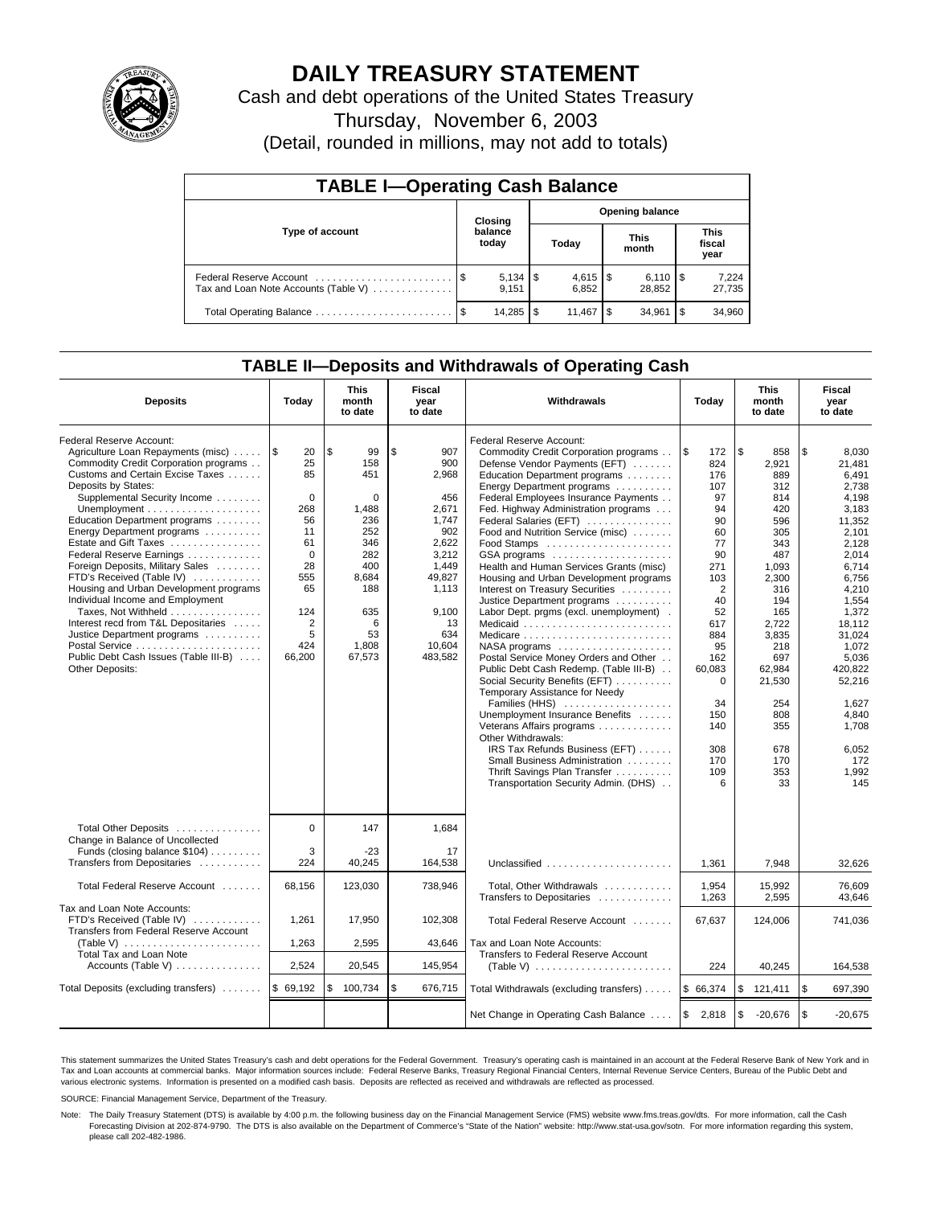

# **DAILY TREASURY STATEMENT**

Cash and debt operations of the United States Treasury

Thursday, November 6, 2003

(Detail, rounded in millions, may not add to totals)

| <b>TABLE I-Operating Cash Balance</b>                           |  |                  |    |                        |      |                              |      |                               |  |  |
|-----------------------------------------------------------------|--|------------------|----|------------------------|------|------------------------------|------|-------------------------------|--|--|
| Type of account                                                 |  | Closing          |    | <b>Opening balance</b> |      |                              |      |                               |  |  |
|                                                                 |  | balance<br>today |    | Today                  |      | <b>This</b><br>month         |      | <b>This</b><br>fiscal<br>year |  |  |
| Federal Reserve Account<br>Tax and Loan Note Accounts (Table V) |  | 9.151            |    | 6.852                  |      | $6,110$ $\sqrt{5}$<br>28.852 |      | 7,224<br>27,735               |  |  |
| Total Operating Balance                                         |  | 14,285           | \$ | 11.467                 | - \$ | 34.961                       | l \$ | 34,960                        |  |  |

## **TABLE II—Deposits and Withdrawals of Operating Cash**

| <b>Deposits</b>                                                                                                                                                                                                                                                                                                                                                                                                                                                                                                                                                                                                                | Today                                                                                                                                    | <b>This</b><br>month<br>to date                                                                                                     | <b>Fiscal</b><br>year<br>to date                                                                                                                   | Withdrawals                                                                                                                                                                                                                                                                                                                                                                                                                                                                                                                                                                                                                                                                                                                                                                                                                                                                                                                                                                                                                                 | Today                                                                                                                                                                                      | <b>This</b><br>month<br>to date                                                                                                                                                                                       | <b>Fiscal</b><br>year<br>to date                                                                                                                                                                                                                                  |
|--------------------------------------------------------------------------------------------------------------------------------------------------------------------------------------------------------------------------------------------------------------------------------------------------------------------------------------------------------------------------------------------------------------------------------------------------------------------------------------------------------------------------------------------------------------------------------------------------------------------------------|------------------------------------------------------------------------------------------------------------------------------------------|-------------------------------------------------------------------------------------------------------------------------------------|----------------------------------------------------------------------------------------------------------------------------------------------------|---------------------------------------------------------------------------------------------------------------------------------------------------------------------------------------------------------------------------------------------------------------------------------------------------------------------------------------------------------------------------------------------------------------------------------------------------------------------------------------------------------------------------------------------------------------------------------------------------------------------------------------------------------------------------------------------------------------------------------------------------------------------------------------------------------------------------------------------------------------------------------------------------------------------------------------------------------------------------------------------------------------------------------------------|--------------------------------------------------------------------------------------------------------------------------------------------------------------------------------------------|-----------------------------------------------------------------------------------------------------------------------------------------------------------------------------------------------------------------------|-------------------------------------------------------------------------------------------------------------------------------------------------------------------------------------------------------------------------------------------------------------------|
| Federal Reserve Account:<br>Agriculture Loan Repayments (misc)<br>Commodity Credit Corporation programs<br>Customs and Certain Excise Taxes<br>Deposits by States:<br>Supplemental Security Income<br>Education Department programs<br>Energy Department programs<br>Estate and Gift Taxes<br>Federal Reserve Earnings<br>Foreign Deposits, Military Sales<br>FTD's Received (Table IV)<br>Housing and Urban Development programs<br>Individual Income and Employment<br>Taxes, Not Withheld<br>Interest recd from T&L Depositaries<br>Justice Department programs<br>Public Debt Cash Issues (Table III-B)<br>Other Deposits: | ۱\$<br>20<br>25<br>85<br>$\Omega$<br>268<br>56<br>11<br>61<br>$\Omega$<br>28<br>555<br>65<br>124<br>$\overline{2}$<br>5<br>424<br>66,200 | \$<br>99<br>158<br>451<br>$\Omega$<br>1,488<br>236<br>252<br>346<br>282<br>400<br>8,684<br>188<br>635<br>6<br>53<br>1,808<br>67,573 | \$<br>907<br>900<br>2,968<br>456<br>2,671<br>1,747<br>902<br>2,622<br>3,212<br>1.449<br>49,827<br>1,113<br>9,100<br>13<br>634<br>10.604<br>483,582 | Federal Reserve Account:<br>Commodity Credit Corporation programs<br>Defense Vendor Payments (EFT)<br>Education Department programs<br>Energy Department programs<br>Federal Employees Insurance Payments<br>Fed. Highway Administration programs<br>Federal Salaries (EFT)<br>Food and Nutrition Service (misc)<br>Food Stamps<br>GSA programs<br>Health and Human Services Grants (misc)<br>Housing and Urban Development programs<br>Interest on Treasury Securities<br>Justice Department programs<br>Labor Dept. prgms (excl. unemployment).<br>Medicaid<br>Medicare<br>$NASA$ programs $\ldots \ldots \ldots \ldots \ldots$<br>Postal Service Money Orders and Other<br>Public Debt Cash Redemp. (Table III-B)<br>Social Security Benefits (EFT)<br>Temporary Assistance for Needy<br>Families (HHS)<br>Unemployment Insurance Benefits<br>Veterans Affairs programs<br>Other Withdrawals:<br>IRS Tax Refunds Business (EFT)<br>Small Business Administration<br>Thrift Savings Plan Transfer<br>Transportation Security Admin. (DHS) | l\$<br>172<br>824<br>176<br>107<br>97<br>94<br>90<br>60<br>77<br>90<br>271<br>103<br>2<br>40<br>52<br>617<br>884<br>95<br>162<br>60,083<br>0<br>34<br>150<br>140<br>308<br>170<br>109<br>6 | \$<br>858<br>2.921<br>889<br>312<br>814<br>420<br>596<br>305<br>343<br>487<br>1,093<br>2,300<br>316<br>194<br>165<br>2,722<br>3,835<br>218<br>697<br>62,984<br>21,530<br>254<br>808<br>355<br>678<br>170<br>353<br>33 | \$<br>8,030<br>21.481<br>6.491<br>2.738<br>4,198<br>3,183<br>11,352<br>2.101<br>2.128<br>2.014<br>6.714<br>6,756<br>4,210<br>1,554<br>1.372<br>18.112<br>31.024<br>1,072<br>5,036<br>420,822<br>52,216<br>1,627<br>4.840<br>1,708<br>6,052<br>172<br>1,992<br>145 |
| Total Other Deposits<br>Change in Balance of Uncollected<br>Funds (closing balance \$104)<br>Transfers from Depositaries                                                                                                                                                                                                                                                                                                                                                                                                                                                                                                       | $\Omega$<br>3<br>224                                                                                                                     | 147<br>$-23$<br>40,245                                                                                                              | 1,684<br>17<br>164,538                                                                                                                             | Unclassified                                                                                                                                                                                                                                                                                                                                                                                                                                                                                                                                                                                                                                                                                                                                                                                                                                                                                                                                                                                                                                | 1,361                                                                                                                                                                                      | 7,948                                                                                                                                                                                                                 | 32,626                                                                                                                                                                                                                                                            |
| Total Federal Reserve Account                                                                                                                                                                                                                                                                                                                                                                                                                                                                                                                                                                                                  | 68,156                                                                                                                                   | 123,030                                                                                                                             | 738,946                                                                                                                                            | Total, Other Withdrawals<br>Transfers to Depositaries                                                                                                                                                                                                                                                                                                                                                                                                                                                                                                                                                                                                                                                                                                                                                                                                                                                                                                                                                                                       | 1,954<br>1,263                                                                                                                                                                             | 15,992<br>2,595                                                                                                                                                                                                       | 76,609<br>43,646                                                                                                                                                                                                                                                  |
| Tax and Loan Note Accounts:<br>FTD's Received (Table IV)<br>Transfers from Federal Reserve Account<br>(Table V) $\ldots \ldots \ldots \ldots \ldots \ldots \ldots$<br>Total Tax and Loan Note                                                                                                                                                                                                                                                                                                                                                                                                                                  | 1,261<br>1,263                                                                                                                           | 17,950<br>2,595                                                                                                                     | 102,308<br>43,646                                                                                                                                  | Total Federal Reserve Account<br>Tax and Loan Note Accounts:<br>Transfers to Federal Reserve Account                                                                                                                                                                                                                                                                                                                                                                                                                                                                                                                                                                                                                                                                                                                                                                                                                                                                                                                                        | 67,637                                                                                                                                                                                     | 124,006                                                                                                                                                                                                               | 741,036                                                                                                                                                                                                                                                           |
| Accounts (Table V)                                                                                                                                                                                                                                                                                                                                                                                                                                                                                                                                                                                                             | 2,524                                                                                                                                    | 20,545                                                                                                                              | 145,954                                                                                                                                            |                                                                                                                                                                                                                                                                                                                                                                                                                                                                                                                                                                                                                                                                                                                                                                                                                                                                                                                                                                                                                                             | 224                                                                                                                                                                                        | 40,245                                                                                                                                                                                                                | 164,538                                                                                                                                                                                                                                                           |
| Total Deposits (excluding transfers)                                                                                                                                                                                                                                                                                                                                                                                                                                                                                                                                                                                           | \$69,192                                                                                                                                 | \$<br>100,734                                                                                                                       | \$<br>676,715                                                                                                                                      | Total Withdrawals (excluding transfers)                                                                                                                                                                                                                                                                                                                                                                                                                                                                                                                                                                                                                                                                                                                                                                                                                                                                                                                                                                                                     | \$66,374                                                                                                                                                                                   | \$<br>121,411                                                                                                                                                                                                         | \$<br>697,390                                                                                                                                                                                                                                                     |
|                                                                                                                                                                                                                                                                                                                                                                                                                                                                                                                                                                                                                                |                                                                                                                                          |                                                                                                                                     |                                                                                                                                                    | Net Change in Operating Cash Balance                                                                                                                                                                                                                                                                                                                                                                                                                                                                                                                                                                                                                                                                                                                                                                                                                                                                                                                                                                                                        | $\sqrt{3}$<br>2,818                                                                                                                                                                        | \$<br>$-20,676$                                                                                                                                                                                                       | $\mathbf{s}$<br>$-20,675$                                                                                                                                                                                                                                         |

This statement summarizes the United States Treasury's cash and debt operations for the Federal Government. Treasury's operating cash is maintained in an account at the Federal Reserve Bank of New York and in Tax and Loan accounts at commercial banks. Major information sources include: Federal Reserve Banks, Treasury Regional Financial Centers, Internal Revenue Service Centers, Bureau of the Public Debt and<br>various electronic s

SOURCE: Financial Management Service, Department of the Treasury.

Note: The Daily Treasury Statement (DTS) is available by 4:00 p.m. the following business day on the Financial Management Service (FMS) website www.fms.treas.gov/dts. For more information, call the Cash Forecasting Division at 202-874-9790. The DTS is also available on the Department of Commerce's "State of the Nation" website: http://www.stat-usa.gov/sotn. For more information regarding this system, please call 202-482-1986.